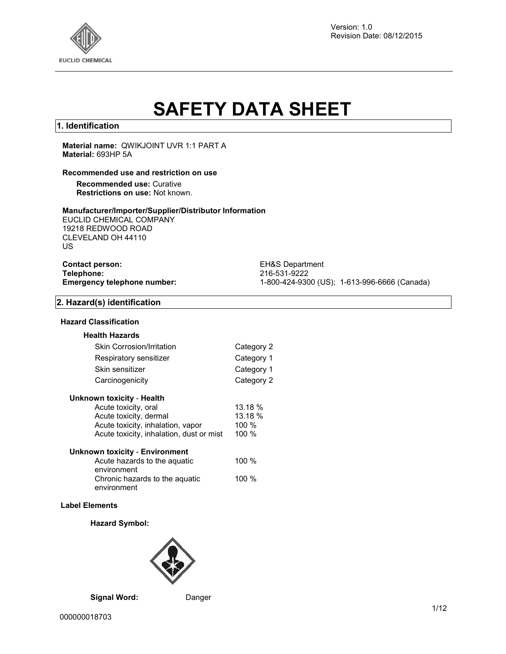

Version: 1.0 Revision Date: 08/12/2015

# **SAFETY DATA SHEET**

## **1. Identification**

**Material name:** QWIKJOINT UVR 1:1 PART A **Material:** 693HP 5A

#### **Recommended use and restriction on use**

**Recommended use:** Curative **Restrictions on use:** Not known.

#### **Manufacturer/Importer/Supplier/Distributor Information**

EUCLID CHEMICAL COMPANY 19218 REDWOOD ROAD CLEVELAND OH 44110 US

| <b>Contact person:</b> |                             |
|------------------------|-----------------------------|
| Telephone:             |                             |
|                        | Emergency telephone number: |

**EH&S Department Telephone:** 216-531-9222 **Emergency telephone number:** 1-800-424-9300 (US); 1-613-996-6666 (Canada)

#### **2. Hazard(s) identification**

#### **Hazard Classification**

| <b>Health Hazards</b>            |            |
|----------------------------------|------------|
| <b>Skin Corrosion/Irritation</b> | Category 2 |
| Respiratory sensitizer           | Category 1 |
| Skin sensitizer                  | Category 1 |
| Carcinogenicity                  | Category 2 |

| <b>Unknown toxicity - Health</b> |  |  |
|----------------------------------|--|--|
|----------------------------------|--|--|

| Acute toxicity, oral                     | 13.18 % |
|------------------------------------------|---------|
| Acute toxicity, dermal                   | 13.18 % |
| Acute toxicity, inhalation, vapor        | 100 $%$ |
| Acute toxicity, inhalation, dust or mist | 100%    |
|                                          |         |

| <b>Unknown toxicity - Environment</b> |         |
|---------------------------------------|---------|
| Acute hazards to the aguatic          | 100 $%$ |
| environment                           |         |
| Chronic hazards to the aquatic        | 100 $%$ |
| environment                           |         |

#### **Label Elements**

#### **Hazard Symbol:**



**Signal Word:** Danger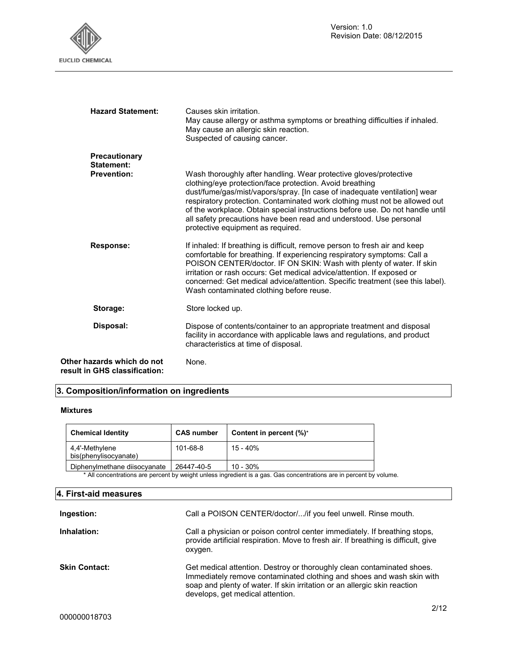

| <b>Hazard Statement:</b>                                    | Causes skin irritation.<br>May cause allergy or asthma symptoms or breathing difficulties if inhaled.<br>May cause an allergic skin reaction.<br>Suspected of causing cancer.                                                                                                                                                                                                                                                                                                        |  |
|-------------------------------------------------------------|--------------------------------------------------------------------------------------------------------------------------------------------------------------------------------------------------------------------------------------------------------------------------------------------------------------------------------------------------------------------------------------------------------------------------------------------------------------------------------------|--|
| Precautionary<br>Statement:                                 |                                                                                                                                                                                                                                                                                                                                                                                                                                                                                      |  |
| <b>Prevention:</b>                                          | Wash thoroughly after handling. Wear protective gloves/protective<br>clothing/eye protection/face protection. Avoid breathing<br>dust/fume/gas/mist/vapors/spray. [In case of inadequate ventilation] wear<br>respiratory protection. Contaminated work clothing must not be allowed out<br>of the workplace. Obtain special instructions before use. Do not handle until<br>all safety precautions have been read and understood. Use personal<br>protective equipment as required. |  |
| <b>Response:</b>                                            | If inhaled: If breathing is difficult, remove person to fresh air and keep<br>comfortable for breathing. If experiencing respiratory symptoms: Call a<br>POISON CENTER/doctor. IF ON SKIN: Wash with plenty of water. If skin<br>irritation or rash occurs: Get medical advice/attention. If exposed or<br>concerned: Get medical advice/attention. Specific treatment (see this label).<br>Wash contaminated clothing before reuse.                                                 |  |
| Storage:                                                    | Store locked up.                                                                                                                                                                                                                                                                                                                                                                                                                                                                     |  |
| Disposal:                                                   | Dispose of contents/container to an appropriate treatment and disposal<br>facility in accordance with applicable laws and regulations, and product<br>characteristics at time of disposal.                                                                                                                                                                                                                                                                                           |  |
| Other hazards which do not<br>result in GHS classification: | None.                                                                                                                                                                                                                                                                                                                                                                                                                                                                                |  |

# **3. Composition/information on ingredients**

## **Mixtures**

| <b>Chemical Identity</b>                                                                                            | <b>CAS number</b> | Content in percent (%)* |  |
|---------------------------------------------------------------------------------------------------------------------|-------------------|-------------------------|--|
| 4.4'-Methylene<br>bis(phenylisocyanate)                                                                             | 101-68-8          | 15 - 40%                |  |
| Diphenylmethane diisocyanate                                                                                        | 26447-40-5        | $10 - 30%$              |  |
| * All concentrations are percent by weight unless ingredient is a gas. Gas concentrations are in percent by volume. |                   |                         |  |

## **4. First-aid measures**

| Ingestion:           | Call a POISON CENTER/doctor//if you feel unwell. Rinse mouth.                                                                                                                                                                                                    |
|----------------------|------------------------------------------------------------------------------------------------------------------------------------------------------------------------------------------------------------------------------------------------------------------|
| Inhalation:          | Call a physician or poison control center immediately. If breathing stops,<br>provide artificial respiration. Move to fresh air. If breathing is difficult, give<br>oxygen.                                                                                      |
| <b>Skin Contact:</b> | Get medical attention. Destroy or thoroughly clean contaminated shoes.<br>Immediately remove contaminated clothing and shoes and wash skin with<br>soap and plenty of water. If skin irritation or an allergic skin reaction<br>develops, get medical attention. |
|                      | 0110                                                                                                                                                                                                                                                             |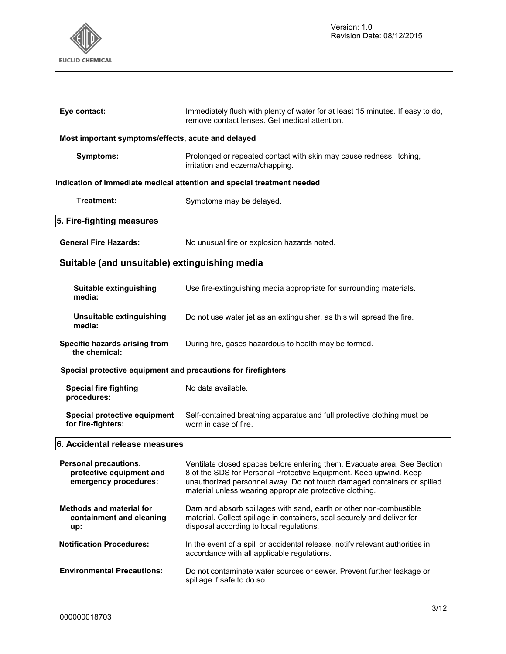

| Eye contact:                                                               | Immediately flush with plenty of water for at least 15 minutes. If easy to do,<br>remove contact lenses. Get medical attention.                                                                                                                                                      |  |  |  |  |
|----------------------------------------------------------------------------|--------------------------------------------------------------------------------------------------------------------------------------------------------------------------------------------------------------------------------------------------------------------------------------|--|--|--|--|
| Most important symptoms/effects, acute and delayed                         |                                                                                                                                                                                                                                                                                      |  |  |  |  |
| <b>Symptoms:</b>                                                           | Prolonged or repeated contact with skin may cause redness, itching,<br>irritation and eczema/chapping.                                                                                                                                                                               |  |  |  |  |
|                                                                            | Indication of immediate medical attention and special treatment needed                                                                                                                                                                                                               |  |  |  |  |
| Treatment:                                                                 | Symptoms may be delayed.                                                                                                                                                                                                                                                             |  |  |  |  |
| 5. Fire-fighting measures                                                  |                                                                                                                                                                                                                                                                                      |  |  |  |  |
| <b>General Fire Hazards:</b>                                               | No unusual fire or explosion hazards noted.                                                                                                                                                                                                                                          |  |  |  |  |
| Suitable (and unsuitable) extinguishing media                              |                                                                                                                                                                                                                                                                                      |  |  |  |  |
| Suitable extinguishing<br>media:                                           | Use fire-extinguishing media appropriate for surrounding materials.                                                                                                                                                                                                                  |  |  |  |  |
| Unsuitable extinguishing<br>media:                                         | Do not use water jet as an extinguisher, as this will spread the fire.                                                                                                                                                                                                               |  |  |  |  |
| Specific hazards arising from<br>the chemical:                             | During fire, gases hazardous to health may be formed.                                                                                                                                                                                                                                |  |  |  |  |
| Special protective equipment and precautions for firefighters              |                                                                                                                                                                                                                                                                                      |  |  |  |  |
| <b>Special fire fighting</b><br>procedures:                                | No data available.                                                                                                                                                                                                                                                                   |  |  |  |  |
| Special protective equipment<br>for fire-fighters:                         | Self-contained breathing apparatus and full protective clothing must be<br>worn in case of fire.                                                                                                                                                                                     |  |  |  |  |
| 6. Accidental release measures                                             |                                                                                                                                                                                                                                                                                      |  |  |  |  |
| Personal precautions,<br>protective equipment and<br>emergency procedures: | Ventilate closed spaces before entering them. Evacuate area. See Section<br>8 of the SDS for Personal Protective Equipment. Keep upwind. Keep<br>unauthorized personnel away. Do not touch damaged containers or spilled<br>material unless wearing appropriate protective clothing. |  |  |  |  |
| <b>Methods and material for</b><br>containment and cleaning<br>up:         | Dam and absorb spillages with sand, earth or other non-combustible<br>material. Collect spillage in containers, seal securely and deliver for<br>disposal according to local regulations.                                                                                            |  |  |  |  |
| <b>Notification Procedures:</b>                                            | In the event of a spill or accidental release, notify relevant authorities in<br>accordance with all applicable regulations.                                                                                                                                                         |  |  |  |  |
| <b>Environmental Precautions:</b>                                          | Do not contaminate water sources or sewer. Prevent further leakage or<br>spillage if safe to do so.                                                                                                                                                                                  |  |  |  |  |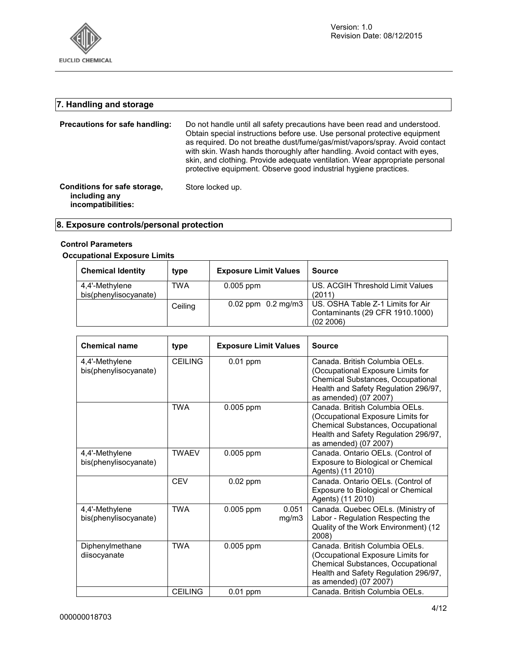

# **7. Handling and storage**

| Precautions for safe handling:                                      | Do not handle until all safety precautions have been read and understood.<br>Obtain special instructions before use. Use personal protective equipment<br>as required. Do not breathe dust/fume/gas/mist/vapors/spray. Avoid contact<br>with skin. Wash hands thoroughly after handling. Avoid contact with eyes,<br>skin, and clothing. Provide adequate ventilation. Wear appropriate personal<br>protective equipment. Observe good industrial hygiene practices. |
|---------------------------------------------------------------------|----------------------------------------------------------------------------------------------------------------------------------------------------------------------------------------------------------------------------------------------------------------------------------------------------------------------------------------------------------------------------------------------------------------------------------------------------------------------|
| Conditions for safe storage,<br>including any<br>incompatibilities: | Store locked up.                                                                                                                                                                                                                                                                                                                                                                                                                                                     |

# **8. Exposure controls/personal protection**

## **Control Parameters**

## **Occupational Exposure Limits**

| <b>Chemical Identity</b>                | type    | <b>Exposure Limit Values</b> | <b>Source</b>                                                                     |
|-----------------------------------------|---------|------------------------------|-----------------------------------------------------------------------------------|
| 4,4'-Methylene<br>bis(phenylisocyanate) | TWA     | $0.005$ ppm                  | US. ACGIH Threshold Limit Values<br>(2011)                                        |
|                                         | Ceiling | $0.02$ ppm $0.2$ mg/m3       | US. OSHA Table Z-1 Limits for Air<br>Contaminants (29 CFR 1910.1000)<br>(02 2006) |

| <b>Chemical name</b>                    | type           | <b>Exposure Limit Values</b> |                | <b>Source</b>                                                                                                                                                             |
|-----------------------------------------|----------------|------------------------------|----------------|---------------------------------------------------------------------------------------------------------------------------------------------------------------------------|
| 4,4'-Methylene<br>bis(phenylisocyanate) | <b>CEILING</b> | $0.01$ ppm                   |                | Canada. British Columbia OELs.<br>(Occupational Exposure Limits for<br>Chemical Substances, Occupational<br>Health and Safety Regulation 296/97,<br>as amended) (07 2007) |
|                                         | <b>TWA</b>     | 0.005 ppm                    |                | Canada. British Columbia OELs.<br>(Occupational Exposure Limits for<br>Chemical Substances, Occupational<br>Health and Safety Regulation 296/97,<br>as amended) (07 2007) |
| 4,4'-Methylene<br>bis(phenylisocyanate) | <b>TWAEV</b>   | 0.005 ppm                    |                | Canada. Ontario OELs. (Control of<br>Exposure to Biological or Chemical<br>Agents) (11 2010)                                                                              |
|                                         | <b>CEV</b>     | $0.02$ ppm                   |                | Canada. Ontario OELs. (Control of<br>Exposure to Biological or Chemical<br>Agents) (11 2010)                                                                              |
| 4,4'-Methylene<br>bis(phenylisocyanate) | <b>TWA</b>     | 0.005 ppm                    | 0.051<br>mg/m3 | Canada. Quebec OELs. (Ministry of<br>Labor - Regulation Respecting the<br>Quality of the Work Environment) (12<br>2008)                                                   |
| Diphenylmethane<br>diisocyanate         | <b>TWA</b>     | 0.005 ppm                    |                | Canada. British Columbia OELs.<br>(Occupational Exposure Limits for<br>Chemical Substances, Occupational<br>Health and Safety Regulation 296/97,<br>as amended) (07 2007) |
|                                         | <b>CEILING</b> | $0.01$ ppm                   |                | Canada. British Columbia OELs.                                                                                                                                            |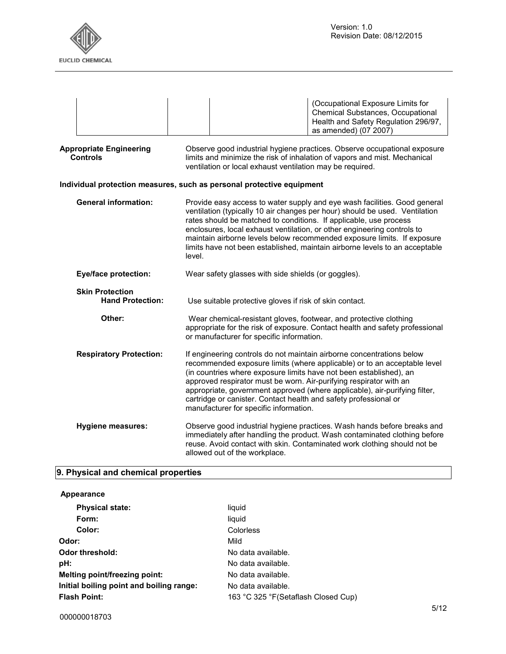

|                                                                                                                                                                                                                                                                                                                                                                                                                                                                                                             |                                                   | (Occupational Exposure Limits for<br><b>Chemical Substances, Occupational</b><br>Health and Safety Regulation 296/97,<br>as amended) (07 2007)                                                                                                                                                                                                                                                                                                                                            |  |
|-------------------------------------------------------------------------------------------------------------------------------------------------------------------------------------------------------------------------------------------------------------------------------------------------------------------------------------------------------------------------------------------------------------------------------------------------------------------------------------------------------------|---------------------------------------------------|-------------------------------------------------------------------------------------------------------------------------------------------------------------------------------------------------------------------------------------------------------------------------------------------------------------------------------------------------------------------------------------------------------------------------------------------------------------------------------------------|--|
|                                                                                                                                                                                                                                                                                                                                                                                                                                                                                                             | <b>Appropriate Engineering</b><br><b>Controls</b> | Observe good industrial hygiene practices. Observe occupational exposure<br>limits and minimize the risk of inhalation of vapors and mist. Mechanical<br>ventilation or local exhaust ventilation may be required.                                                                                                                                                                                                                                                                        |  |
|                                                                                                                                                                                                                                                                                                                                                                                                                                                                                                             |                                                   | Individual protection measures, such as personal protective equipment                                                                                                                                                                                                                                                                                                                                                                                                                     |  |
| <b>General information:</b><br>Provide easy access to water supply and eye wash facilities. Good general<br>ventilation (typically 10 air changes per hour) should be used. Ventilation<br>rates should be matched to conditions. If applicable, use process<br>enclosures, local exhaust ventilation, or other engineering controls to<br>maintain airborne levels below recommended exposure limits. If exposure<br>limits have not been established, maintain airborne levels to an acceptable<br>level. |                                                   |                                                                                                                                                                                                                                                                                                                                                                                                                                                                                           |  |
|                                                                                                                                                                                                                                                                                                                                                                                                                                                                                                             | <b>Eye/face protection:</b>                       | Wear safety glasses with side shields (or goggles).                                                                                                                                                                                                                                                                                                                                                                                                                                       |  |
|                                                                                                                                                                                                                                                                                                                                                                                                                                                                                                             | <b>Skin Protection</b><br><b>Hand Protection:</b> | Use suitable protective gloves if risk of skin contact.                                                                                                                                                                                                                                                                                                                                                                                                                                   |  |
|                                                                                                                                                                                                                                                                                                                                                                                                                                                                                                             | Other:                                            | Wear chemical-resistant gloves, footwear, and protective clothing<br>appropriate for the risk of exposure. Contact health and safety professional<br>or manufacturer for specific information.                                                                                                                                                                                                                                                                                            |  |
|                                                                                                                                                                                                                                                                                                                                                                                                                                                                                                             | <b>Respiratory Protection:</b>                    | If engineering controls do not maintain airborne concentrations below<br>recommended exposure limits (where applicable) or to an acceptable level<br>(in countries where exposure limits have not been established), an<br>approved respirator must be worn. Air-purifying respirator with an<br>appropriate, government approved (where applicable), air-purifying filter,<br>cartridge or canister. Contact health and safety professional or<br>manufacturer for specific information. |  |
|                                                                                                                                                                                                                                                                                                                                                                                                                                                                                                             | <b>Hygiene measures:</b>                          | Observe good industrial hygiene practices. Wash hands before breaks and<br>immediately after handling the product. Wash contaminated clothing before<br>reuse. Avoid contact with skin. Contaminated work clothing should not be<br>allowed out of the workplace.                                                                                                                                                                                                                         |  |

# **9. Physical and chemical properties**

| Appearance                               |                                      |
|------------------------------------------|--------------------------------------|
| <b>Physical state:</b>                   | liquid                               |
| Form:                                    | liquid                               |
| Color:                                   | Colorless                            |
| Odor:                                    | Mild                                 |
| Odor threshold:                          | No data available.                   |
| pH:                                      | No data available.                   |
| Melting point/freezing point:            | No data available.                   |
| Initial boiling point and boiling range: | No data available.                   |
| <b>Flash Point:</b>                      | 163 °C 325 °F (Setaflash Closed Cup) |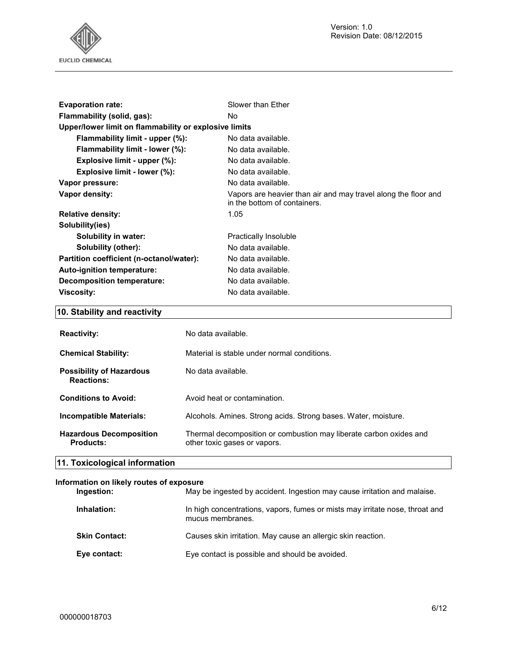Version: 1.0 Revision Date: 08/12/2015



| <b>Evaporation rate:</b>                              | Slower than Ether                                                                              |  |
|-------------------------------------------------------|------------------------------------------------------------------------------------------------|--|
| Flammability (solid, gas):                            | No.                                                                                            |  |
| Upper/lower limit on flammability or explosive limits |                                                                                                |  |
| Flammability limit - upper (%):                       | No data available.                                                                             |  |
| Flammability limit - lower (%):                       | No data available.                                                                             |  |
| Explosive limit - upper $(\%)$ :                      | No data available.                                                                             |  |
| Explosive limit - lower (%):                          | No data available.                                                                             |  |
| Vapor pressure:                                       | No data available.                                                                             |  |
| Vapor density:                                        | Vapors are heavier than air and may travel along the floor and<br>in the bottom of containers. |  |
| <b>Relative density:</b>                              | 1.05                                                                                           |  |
| Solubility(ies)                                       |                                                                                                |  |
| Solubility in water:                                  | Practically Insoluble                                                                          |  |
| Solubility (other):                                   | No data available.                                                                             |  |
| Partition coefficient (n-octanol/water):              | No data available.                                                                             |  |
| Auto-ignition temperature:                            | No data available.                                                                             |  |
| Decomposition temperature:                            | No data available.                                                                             |  |
| <b>Viscosity:</b>                                     | No data available.                                                                             |  |

# **10. Stability and reactivity**

| <b>Reactivity:</b>                                   | No data available.                                                                                 |
|------------------------------------------------------|----------------------------------------------------------------------------------------------------|
| <b>Chemical Stability:</b>                           | Material is stable under normal conditions.                                                        |
| <b>Possibility of Hazardous</b><br><b>Reactions:</b> | No data available.                                                                                 |
| <b>Conditions to Avoid:</b>                          | Avoid heat or contamination.                                                                       |
| Incompatible Materials:                              | Alcohols. Amines. Strong acids. Strong bases. Water, moisture.                                     |
| <b>Hazardous Decomposition</b><br><b>Products:</b>   | Thermal decomposition or combustion may liberate carbon oxides and<br>other toxic gases or vapors. |
| 11. Toxicological information                        |                                                                                                    |

# **Information on likely routes of exposure**

| Ingestion:           | May be ingested by accident. Ingestion may cause irritation and malaise.                         |
|----------------------|--------------------------------------------------------------------------------------------------|
| Inhalation:          | In high concentrations, vapors, fumes or mists may irritate nose, throat and<br>mucus membranes. |
| <b>Skin Contact:</b> | Causes skin irritation. May cause an allergic skin reaction.                                     |
| Eye contact:         | Eye contact is possible and should be avoided.                                                   |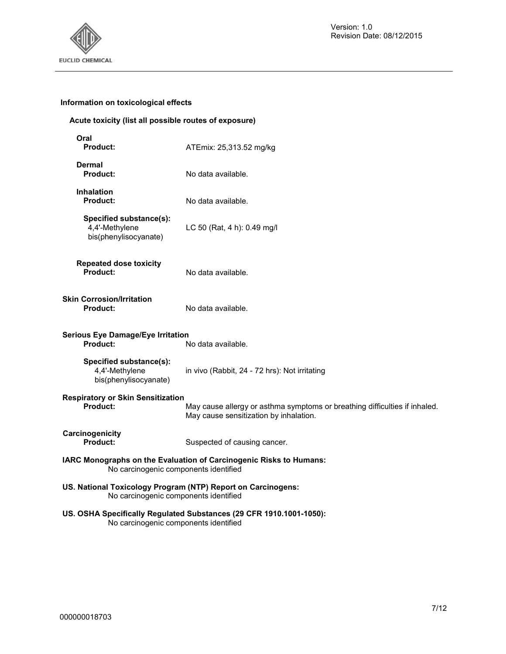

# **Information on toxicological effects**

## **Acute toxicity (list all possible routes of exposure)**

| Oral<br><b>Product:</b><br>ATEmix: 25,313.52 mg/kg                                                    |                                                                                                                      |  |
|-------------------------------------------------------------------------------------------------------|----------------------------------------------------------------------------------------------------------------------|--|
| <b>Dermal</b><br><b>Product:</b>                                                                      | No data available.                                                                                                   |  |
| <b>Inhalation</b><br>Product:<br>No data available.                                                   |                                                                                                                      |  |
| Specified substance(s):<br>4,4'-Methylene<br>bis(phenylisocyanate)                                    | LC 50 (Rat, 4 h): 0.49 mg/l                                                                                          |  |
| <b>Repeated dose toxicity</b><br>Product:                                                             | No data available.                                                                                                   |  |
| <b>Skin Corrosion/Irritation</b><br><b>Product:</b>                                                   | No data available.                                                                                                   |  |
| <b>Serious Eye Damage/Eye Irritation</b><br><b>Product:</b>                                           | No data available.                                                                                                   |  |
| Specified substance(s):<br>4,4'-Methylene<br>bis(phenylisocyanate)                                    | in vivo (Rabbit, 24 - 72 hrs): Not irritating                                                                        |  |
| <b>Respiratory or Skin Sensitization</b><br><b>Product:</b>                                           | May cause allergy or asthma symptoms or breathing difficulties if inhaled.<br>May cause sensitization by inhalation. |  |
| Carcinogenicity<br>Product:                                                                           | Suspected of causing cancer.                                                                                         |  |
| No carcinogenic components identified                                                                 | IARC Monographs on the Evaluation of Carcinogenic Risks to Humans:                                                   |  |
| US. National Toxicology Program (NTP) Report on Carcinogens:<br>No carcinogenic components identified |                                                                                                                      |  |
| US. OSHA Specifically Regulated Substances (29 CFR 1910.1001-1050):                                   |                                                                                                                      |  |

No carcinogenic components identified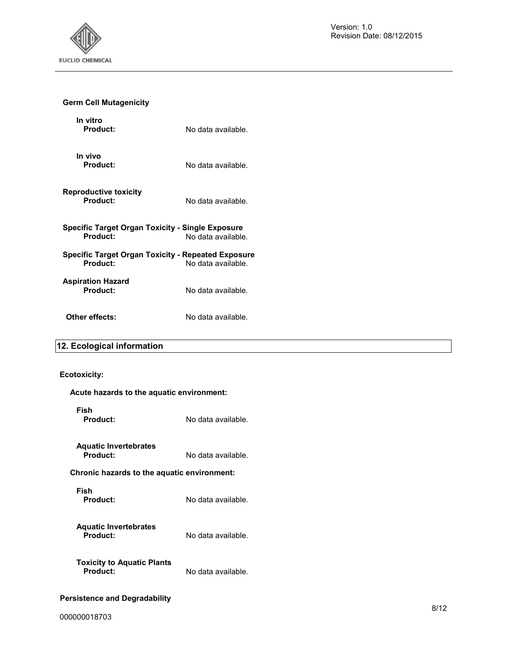

# **Germ Cell Mutagenicity**

| In vitro<br>Product:                                                                 | No data available. |  |
|--------------------------------------------------------------------------------------|--------------------|--|
| In vivo<br>Product:                                                                  | No data available. |  |
| <b>Reproductive toxicity</b><br>Product:                                             | No data available. |  |
| Specific Target Organ Toxicity - Single Exposure<br>Product:                         | No data available. |  |
| Specific Target Organ Toxicity - Repeated Exposure<br>Product:<br>No data available. |                    |  |
| Aspiration Hazard<br>Product:                                                        | No data available. |  |
| Other effects:                                                                       | No data available. |  |

# **12. Ecological information**

## **Ecotoxicity:**

| Acute hazards to the aquatic environment:     |                    |  |
|-----------------------------------------------|--------------------|--|
| Fish<br>Product:                              | No data available. |  |
| <b>Aquatic Invertebrates</b><br>Product:      | No data available. |  |
| Chronic hazards to the aquatic environment:   |                    |  |
| Fish<br><b>Product:</b>                       | No data available. |  |
| <b>Aquatic Invertebrates</b><br>Product:      | No data available. |  |
| <b>Toxicity to Aquatic Plants</b><br>Product: | No data available. |  |
|                                               |                    |  |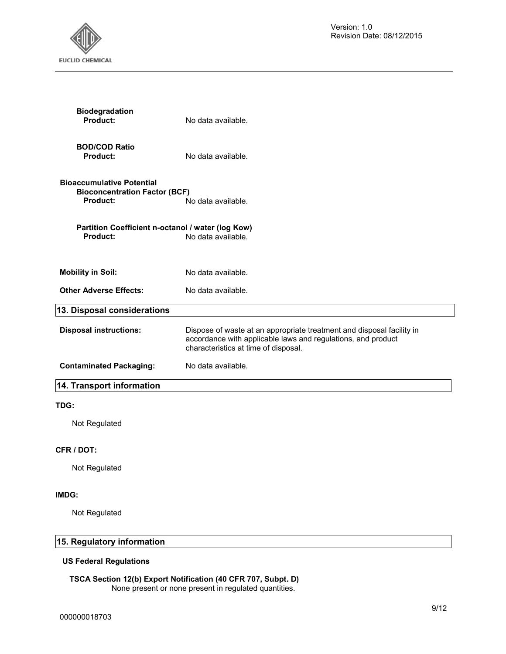

| <b>Biodegradation</b><br>Product:                                                           | No data available.                                                                                                                                                            |  |
|---------------------------------------------------------------------------------------------|-------------------------------------------------------------------------------------------------------------------------------------------------------------------------------|--|
| <b>BOD/COD Ratio</b><br>Product:                                                            | No data available.                                                                                                                                                            |  |
| <b>Bioaccumulative Potential</b><br><b>Bioconcentration Factor (BCF)</b><br><b>Product:</b> | No data available.                                                                                                                                                            |  |
| Partition Coefficient n-octanol / water (log Kow)<br>Product:                               | No data available.                                                                                                                                                            |  |
| <b>Mobility in Soil:</b>                                                                    | No data available.                                                                                                                                                            |  |
| <b>Other Adverse Effects:</b>                                                               | No data available.                                                                                                                                                            |  |
| 13. Disposal considerations                                                                 |                                                                                                                                                                               |  |
| <b>Disposal instructions:</b>                                                               | Dispose of waste at an appropriate treatment and disposal facility in<br>accordance with applicable laws and regulations, and product<br>characteristics at time of disposal. |  |
| <b>Contaminated Packaging:</b>                                                              | No data available.                                                                                                                                                            |  |
| 14. Transport information                                                                   |                                                                                                                                                                               |  |
| TDG:                                                                                        |                                                                                                                                                                               |  |
| Not Regulated                                                                               |                                                                                                                                                                               |  |
| CFR / DOT:                                                                                  |                                                                                                                                                                               |  |
| Not Regulated                                                                               |                                                                                                                                                                               |  |

## **IMDG:**

Not Regulated

# **15. Regulatory information**

## **US Federal Regulations**

#### **TSCA Section 12(b) Export Notification (40 CFR 707, Subpt. D)**  None present or none present in regulated quantities.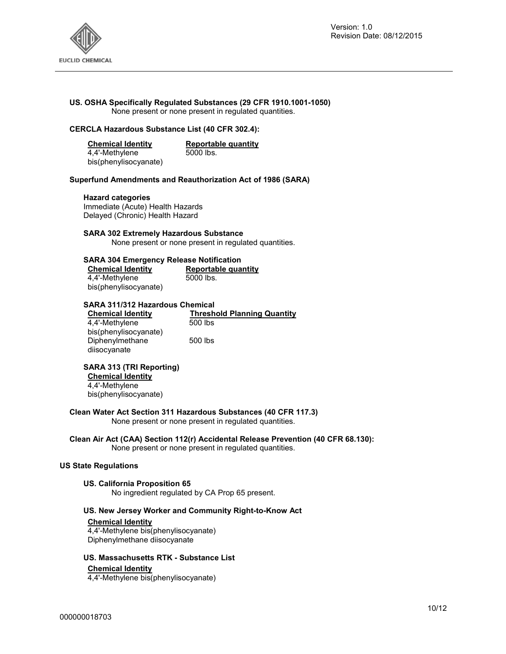

## **US. OSHA Specifically Regulated Substances (29 CFR 1910.1001-1050)**

None present or none present in regulated quantities.

## **CERCLA Hazardous Substance List (40 CFR 302.4):**

| <b>Chemical Identity</b> | Reportable quantity |
|--------------------------|---------------------|
| 4,4'-Methylene           | 5000 lbs.           |
| bis(phenylisocyanate)    |                     |

#### **Superfund Amendments and Reauthorization Act of 1986 (SARA)**

#### **Hazard categories**

Immediate (Acute) Health Hazards Delayed (Chronic) Health Hazard

#### **SARA 302 Extremely Hazardous Substance**

None present or none present in regulated quantities.

#### **SARA 304 Emergency Release Notification**

| <b>Chemical Identity</b> | Reportable quantity |  |
|--------------------------|---------------------|--|
| 4,4'-Methylene           | 5000 lbs.           |  |
| bis(phenylisocyanate)    |                     |  |

#### **SARA 311/312 Hazardous Chemical**

| <b>Chemical Identity</b> | <b>Threshold Planning Quantity</b> |
|--------------------------|------------------------------------|
| 4.4'-Methylene           | 500 lbs                            |
| bis(phenylisocyanate)    |                                    |
| Diphenylmethane          | 500 lbs                            |
| diisocyanate             |                                    |

## **SARA 313 (TRI Reporting)**

**Chemical Identity** 4,4'-Methylene

bis(phenylisocyanate)

#### **Clean Water Act Section 311 Hazardous Substances (40 CFR 117.3)**

None present or none present in regulated quantities.

# **Clean Air Act (CAA) Section 112(r) Accidental Release Prevention (40 CFR 68.130):**

None present or none present in regulated quantities.

## **US State Regulations**

#### **US. California Proposition 65**

No ingredient regulated by CA Prop 65 present.

## **US. New Jersey Worker and Community Right-to-Know Act**

### **Chemical Identity**

4,4'-Methylene bis(phenylisocyanate) Diphenylmethane diisocyanate

#### **US. Massachusetts RTK - Substance List**

#### **Chemical Identity**

4,4'-Methylene bis(phenylisocyanate)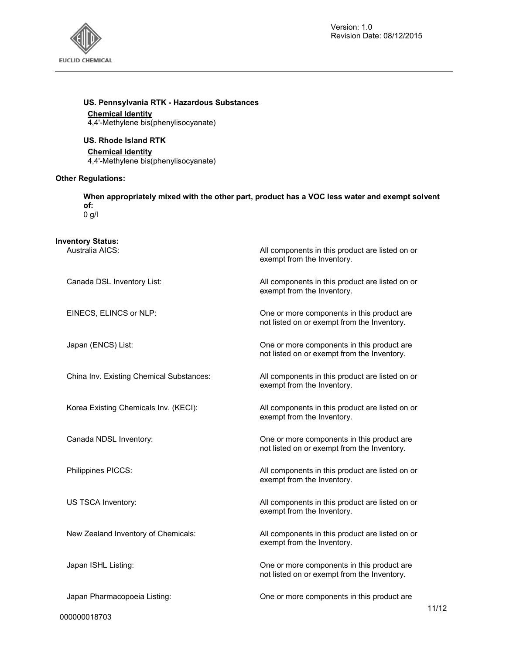

All components in this product are listed on or

exempt from the Inventory.

## **US. Pennsylvania RTK - Hazardous Substances**

## **Chemical Identity**

4,4'-Methylene bis(phenylisocyanate)

## **US. Rhode Island RTK**

#### **Chemical Identity**

4,4'-Methylene bis(phenylisocyanate)

## **Other Regulations:**

**When appropriately mixed with the other part, product has a VOC less water and exempt solvent of:**  0 g/l

# **Inventory Status:**

| Canada DSL Inventory List:               | All components in this product are listed on or<br>exempt from the Inventory.             |
|------------------------------------------|-------------------------------------------------------------------------------------------|
| EINECS, ELINCS or NLP:                   | One or more components in this product are<br>not listed on or exempt from the Inventory. |
| Japan (ENCS) List:                       | One or more components in this product are<br>not listed on or exempt from the Inventory. |
| China Inv. Existing Chemical Substances: | All components in this product are listed on or<br>exempt from the Inventory.             |
| Korea Existing Chemicals Inv. (KECI):    | All components in this product are listed on or<br>exempt from the Inventory.             |
| Canada NDSL Inventory:                   | One or more components in this product are<br>not listed on or exempt from the Inventory. |
| Philippines PICCS:                       | All components in this product are listed on or<br>exempt from the Inventory.             |
| US TSCA Inventory:                       | All components in this product are listed on or<br>exempt from the Inventory.             |
| New Zealand Inventory of Chemicals:      | All components in this product are listed on or<br>exempt from the Inventory.             |
| Japan ISHL Listing:                      | One or more components in this product are<br>not listed on or exempt from the Inventory. |
| Japan Pharmacopoeia Listing:             | One or more components in this product are                                                |

000000018703